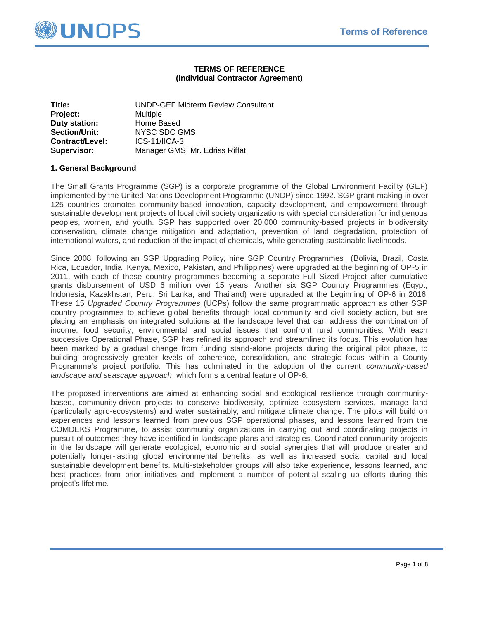

# **TERMS OF REFERENCE (Individual Contractor Agreement)**

| Title:               | <b>UNDP-GEF Midterm Review Consultant</b> |  |
|----------------------|-------------------------------------------|--|
| Project:             | <b>Multiple</b>                           |  |
| <b>Duty station:</b> | Home Based                                |  |
| Section/Unit:        | NYSC SDC GMS                              |  |
| Contract/Level:      | $ICS-11/ICA-3$                            |  |
| <b>Supervisor:</b>   | Manager GMS, Mr. Edriss Riffat            |  |

# **1. General Background**

The Small Grants Programme (SGP) is a corporate programme of the Global Environment Facility (GEF) implemented by the United Nations Development Programme (UNDP) since 1992. SGP grant-making in over 125 countries promotes community-based innovation, capacity development, and empowerment through sustainable development projects of local civil society organizations with special consideration for indigenous peoples, women, and youth. SGP has supported over 20,000 community-based projects in biodiversity conservation, climate change mitigation and adaptation, prevention of land degradation, protection of international waters, and reduction of the impact of chemicals, while generating sustainable livelihoods.

Since 2008, following an SGP Upgrading Policy, nine SGP Country Programmes (Bolivia, Brazil, Costa Rica, Ecuador, India, Kenya, Mexico, Pakistan, and Philippines) were upgraded at the beginning of OP-5 in 2011, with each of these country programmes becoming a separate Full Sized Project after cumulative grants disbursement of USD 6 million over 15 years. Another six SGP Country Programmes (Eqypt, Indonesia, Kazakhstan, Peru, Sri Lanka, and Thailand) were upgraded at the beginning of OP-6 in 2016. These 15 *Upgraded Country Programmes* (UCPs) follow the same programmatic approach as other SGP country programmes to achieve global benefits through local community and civil society action, but are placing an emphasis on integrated solutions at the landscape level that can address the combination of income, food security, environmental and social issues that confront rural communities. With each successive Operational Phase, SGP has refined its approach and streamlined its focus. This evolution has been marked by a gradual change from funding stand-alone projects during the original pilot phase, to building progressively greater levels of coherence, consolidation, and strategic focus within a County Programme's project portfolio. This has culminated in the adoption of the current *community-based landscape and seascape approach*, which forms a central feature of OP-6.

The proposed interventions are aimed at enhancing social and ecological resilience through communitybased, community-driven projects to conserve biodiversity, optimize ecosystem services, manage land (particularly agro-ecosystems) and water sustainably, and mitigate climate change. The pilots will build on experiences and lessons learned from previous SGP operational phases, and lessons learned from the COMDEKS Programme, to assist community organizations in carrying out and coordinating projects in pursuit of outcomes they have identified in landscape plans and strategies. Coordinated community projects in the landscape will generate ecological, economic and social synergies that will produce greater and potentially longer-lasting global environmental benefits, as well as increased social capital and local sustainable development benefits. Multi-stakeholder groups will also take experience, lessons learned, and best practices from prior initiatives and implement a number of potential scaling up efforts during this project's lifetime.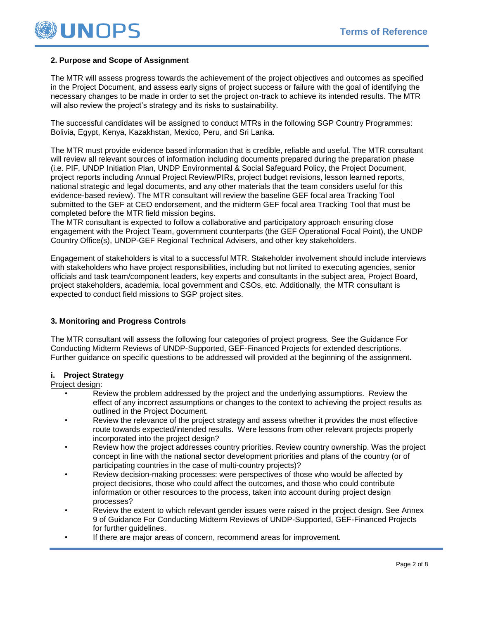

# **2. Purpose and Scope of Assignment**

The MTR will assess progress towards the achievement of the project objectives and outcomes as specified in the Project Document, and assess early signs of project success or failure with the goal of identifying the necessary changes to be made in order to set the project on-track to achieve its intended results. The MTR will also review the project's strategy and its risks to sustainability.

The successful candidates will be assigned to conduct MTRs in the following SGP Country Programmes: Bolivia, Egypt, Kenya, Kazakhstan, Mexico, Peru, and Sri Lanka.

The MTR must provide evidence based information that is credible, reliable and useful. The MTR consultant will review all relevant sources of information including documents prepared during the preparation phase (i.e. PIF, UNDP Initiation Plan, UNDP Environmental & Social Safeguard Policy, the Project Document, project reports including Annual Project Review/PIRs, project budget revisions, lesson learned reports, national strategic and legal documents, and any other materials that the team considers useful for this evidence-based review). The MTR consultant will review the baseline GEF focal area Tracking Tool submitted to the GEF at CEO endorsement, and the midterm GEF focal area Tracking Tool that must be completed before the MTR field mission begins.

The MTR consultant is expected to follow a collaborative and participatory approach ensuring close engagement with the Project Team, government counterparts (the GEF Operational Focal Point), the UNDP Country Office(s), UNDP-GEF Regional Technical Advisers, and other key stakeholders.

Engagement of stakeholders is vital to a successful MTR. Stakeholder involvement should include interviews with stakeholders who have project responsibilities, including but not limited to executing agencies, senior officials and task team/component leaders, key experts and consultants in the subject area, Project Board, project stakeholders, academia, local government and CSOs, etc. Additionally, the MTR consultant is expected to conduct field missions to SGP project sites.

# **3. Monitoring and Progress Controls**

The MTR consultant will assess the following four categories of project progress. See the Guidance For Conducting Midterm Reviews of UNDP-Supported, GEF-Financed Projects for extended descriptions. Further guidance on specific questions to be addressed will provided at the beginning of the assignment.

# **i. Project Strategy**

#### Project design:

- Review the problem addressed by the project and the underlying assumptions. Review the effect of any incorrect assumptions or changes to the context to achieving the project results as outlined in the Project Document.
- Review the relevance of the project strategy and assess whether it provides the most effective route towards expected/intended results. Were lessons from other relevant projects properly incorporated into the project design?
- Review how the project addresses country priorities. Review country ownership. Was the project concept in line with the national sector development priorities and plans of the country (or of participating countries in the case of multi-country projects)?
- Review decision-making processes: were perspectives of those who would be affected by project decisions, those who could affect the outcomes, and those who could contribute information or other resources to the process, taken into account during project design processes?
- Review the extent to which relevant gender issues were raised in the project design. See Annex 9 of Guidance For Conducting Midterm Reviews of UNDP-Supported, GEF-Financed Projects for further guidelines.
- If there are major areas of concern, recommend areas for improvement.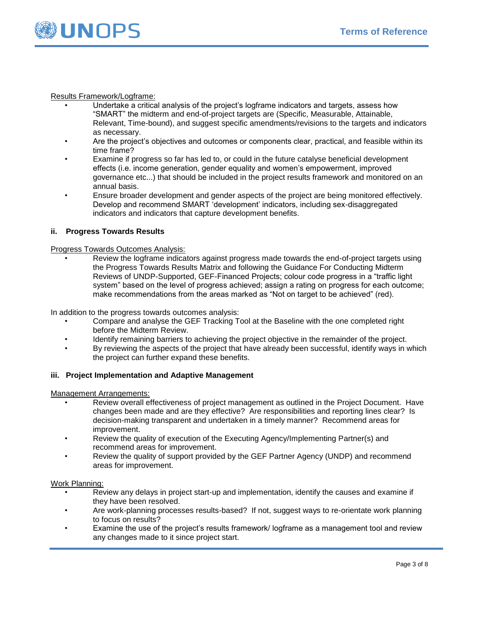

# Results Framework/Logframe:

- Undertake a critical analysis of the project's logframe indicators and targets, assess how "SMART" the midterm and end-of-project targets are (Specific, Measurable, Attainable, Relevant, Time-bound), and suggest specific amendments/revisions to the targets and indicators as necessary.
- Are the project's objectives and outcomes or components clear, practical, and feasible within its time frame?
- Examine if progress so far has led to, or could in the future catalyse beneficial development effects (i.e. income generation, gender equality and women's empowerment, improved governance etc...) that should be included in the project results framework and monitored on an annual basis.
- Ensure broader development and gender aspects of the project are being monitored effectively. Develop and recommend SMART 'development' indicators, including sex-disaggregated indicators and indicators that capture development benefits.

# **ii. Progress Towards Results**

### Progress Towards Outcomes Analysis:

• Review the logframe indicators against progress made towards the end-of-project targets using the Progress Towards Results Matrix and following the Guidance For Conducting Midterm Reviews of UNDP-Supported, GEF-Financed Projects; colour code progress in a "traffic light system" based on the level of progress achieved; assign a rating on progress for each outcome; make recommendations from the areas marked as "Not on target to be achieved" (red).

In addition to the progress towards outcomes analysis:

- Compare and analyse the GEF Tracking Tool at the Baseline with the one completed right before the Midterm Review.
- Identify remaining barriers to achieving the project objective in the remainder of the project.
- By reviewing the aspects of the project that have already been successful, identify ways in which the project can further expand these benefits.

# **iii. Project Implementation and Adaptive Management**

Management Arrangements:

- Review overall effectiveness of project management as outlined in the Project Document. Have changes been made and are they effective? Are responsibilities and reporting lines clear? Is decision-making transparent and undertaken in a timely manner? Recommend areas for improvement.
- Review the quality of execution of the Executing Agency/Implementing Partner(s) and recommend areas for improvement.
- Review the quality of support provided by the GEF Partner Agency (UNDP) and recommend areas for improvement.

#### Work Planning:

- Review any delays in project start-up and implementation, identify the causes and examine if they have been resolved.
- Are work-planning processes results-based? If not, suggest ways to re-orientate work planning to focus on results?
- Examine the use of the project's results framework/ logframe as a management tool and review any changes made to it since project start.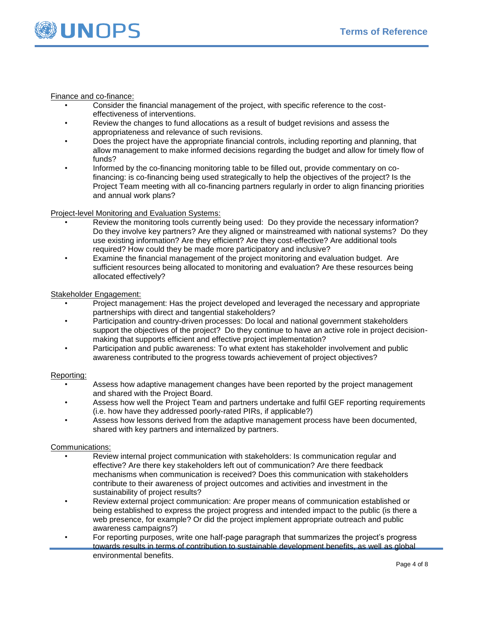

Finance and co-finance:

- Consider the financial management of the project, with specific reference to the costeffectiveness of interventions.
- Review the changes to fund allocations as a result of budget revisions and assess the appropriateness and relevance of such revisions.
- Does the project have the appropriate financial controls, including reporting and planning, that allow management to make informed decisions regarding the budget and allow for timely flow of funds?
- Informed by the co-financing monitoring table to be filled out, provide commentary on cofinancing: is co-financing being used strategically to help the objectives of the project? Is the Project Team meeting with all co-financing partners regularly in order to align financing priorities and annual work plans?

# Project-level Monitoring and Evaluation Systems:

- Review the monitoring tools currently being used: Do they provide the necessary information? Do they involve key partners? Are they aligned or mainstreamed with national systems? Do they use existing information? Are they efficient? Are they cost-effective? Are additional tools required? How could they be made more participatory and inclusive?
- Examine the financial management of the project monitoring and evaluation budget. Are sufficient resources being allocated to monitoring and evaluation? Are these resources being allocated effectively?

# Stakeholder Engagement:

- Project management: Has the project developed and leveraged the necessary and appropriate partnerships with direct and tangential stakeholders?
- Participation and country-driven processes: Do local and national government stakeholders support the objectives of the project? Do they continue to have an active role in project decisionmaking that supports efficient and effective project implementation?
- Participation and public awareness: To what extent has stakeholder involvement and public awareness contributed to the progress towards achievement of project objectives?

#### Reporting:

- Assess how adaptive management changes have been reported by the project management and shared with the Project Board.
- Assess how well the Project Team and partners undertake and fulfil GEF reporting requirements (i.e. how have they addressed poorly-rated PIRs, if applicable?)
- Assess how lessons derived from the adaptive management process have been documented, shared with key partners and internalized by partners.

# Communications:

- Review internal project communication with stakeholders: Is communication regular and effective? Are there key stakeholders left out of communication? Are there feedback mechanisms when communication is received? Does this communication with stakeholders contribute to their awareness of project outcomes and activities and investment in the sustainability of project results?
- Review external project communication: Are proper means of communication established or being established to express the project progress and intended impact to the public (is there a web presence, for example? Or did the project implement appropriate outreach and public awareness campaigns?)
- For reporting purposes, write one half-page paragraph that summarizes the project's progress towards results in terms of contribution to sustainable development benefits, as well as global environmental benefits.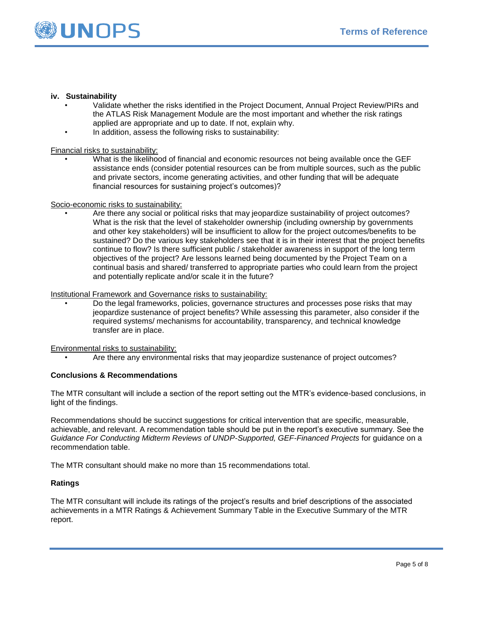

## **iv. Sustainability**

- Validate whether the risks identified in the Project Document, Annual Project Review/PIRs and the ATLAS Risk Management Module are the most important and whether the risk ratings applied are appropriate and up to date. If not, explain why.
- In addition, assess the following risks to sustainability:

Financial risks to sustainability:

• What is the likelihood of financial and economic resources not being available once the GEF assistance ends (consider potential resources can be from multiple sources, such as the public and private sectors, income generating activities, and other funding that will be adequate financial resources for sustaining project's outcomes)?

#### Socio-economic risks to sustainability:

• Are there any social or political risks that may jeopardize sustainability of project outcomes? What is the risk that the level of stakeholder ownership (including ownership by governments and other key stakeholders) will be insufficient to allow for the project outcomes/benefits to be sustained? Do the various key stakeholders see that it is in their interest that the project benefits continue to flow? Is there sufficient public / stakeholder awareness in support of the long term objectives of the project? Are lessons learned being documented by the Project Team on a continual basis and shared/ transferred to appropriate parties who could learn from the project and potentially replicate and/or scale it in the future?

#### Institutional Framework and Governance risks to sustainability:

• Do the legal frameworks, policies, governance structures and processes pose risks that may jeopardize sustenance of project benefits? While assessing this parameter, also consider if the required systems/ mechanisms for accountability, transparency, and technical knowledge transfer are in place.

Environmental risks to sustainability:

• Are there any environmental risks that may jeopardize sustenance of project outcomes?

#### **Conclusions & Recommendations**

The MTR consultant will include a section of the report setting out the MTR's evidence-based conclusions, in light of the findings.

Recommendations should be succinct suggestions for critical intervention that are specific, measurable, achievable, and relevant. A recommendation table should be put in the report's executive summary. See the *Guidance For Conducting Midterm Reviews of UNDP-Supported, GEF-Financed Projects* for guidance on a recommendation table.

The MTR consultant should make no more than 15 recommendations total.

#### **Ratings**

The MTR consultant will include its ratings of the project's results and brief descriptions of the associated achievements in a MTR Ratings & Achievement Summary Table in the Executive Summary of the MTR report.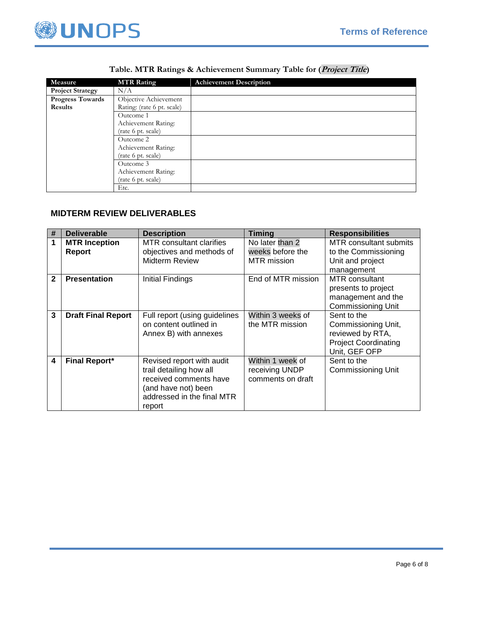

| Measure                 | <b>MTR Rating</b>          | <b>Achievement Description</b> |
|-------------------------|----------------------------|--------------------------------|
| <b>Project Strategy</b> | N/A                        |                                |
| Progress Towards        | Objective Achievement      |                                |
| <b>Results</b>          | Rating: (rate 6 pt. scale) |                                |
|                         | Outcome 1                  |                                |
|                         | Achievement Rating:        |                                |
|                         | (rate 6 pt. scale)         |                                |
|                         | Outcome 2                  |                                |
|                         | Achievement Rating:        |                                |
|                         | (rate 6 pt. scale)         |                                |
|                         | Outcome 3                  |                                |
|                         | Achievement Rating:        |                                |
|                         | (rate 6 pt. scale)         |                                |
|                         | Etc.                       |                                |

# **Table. MTR Ratings & Achievement Summary Table for (Project Title)**

# **MIDTERM REVIEW DELIVERABLES**

| #            | <b>Deliverable</b>             | <b>Description</b>                                                                                                                            | <b>Timing</b>                                             | <b>Responsibilities</b>                                                                                |
|--------------|--------------------------------|-----------------------------------------------------------------------------------------------------------------------------------------------|-----------------------------------------------------------|--------------------------------------------------------------------------------------------------------|
| 1            | <b>MTR Inception</b><br>Report | MTR consultant clarifies<br>objectives and methods of<br>Midterm Review                                                                       | No later than 2<br>weeks before the<br><b>MTR</b> mission | MTR consultant submits<br>to the Commissioning<br>Unit and project<br>management                       |
| $\mathbf{2}$ | <b>Presentation</b>            | Initial Findings                                                                                                                              | End of MTR mission                                        | <b>MTR</b> consultant<br>presents to project<br>management and the<br>Commissioning Unit               |
| 3            | <b>Draft Final Report</b>      | Full report (using guidelines<br>on content outlined in<br>Annex B) with annexes                                                              | Within 3 weeks of<br>the MTR mission                      | Sent to the<br>Commissioning Unit,<br>reviewed by RTA,<br><b>Project Coordinating</b><br>Unit, GEF OFP |
| 4            | <b>Final Report*</b>           | Revised report with audit<br>trail detailing how all<br>received comments have<br>(and have not) been<br>addressed in the final MTR<br>report | Within 1 week of<br>receiving UNDP<br>comments on draft   | Sent to the<br>Commissioning Unit                                                                      |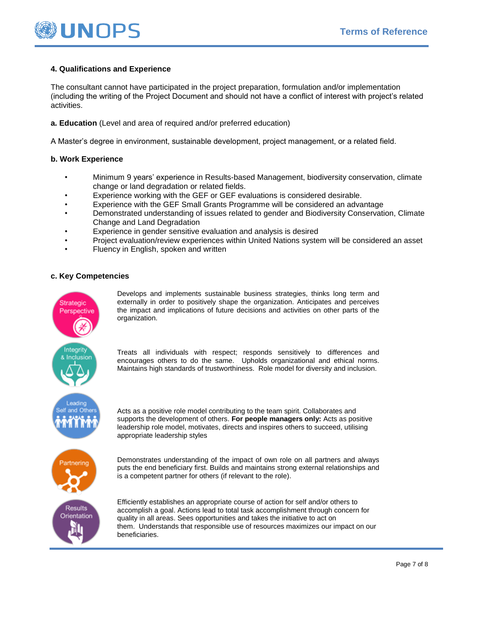

# **4. Qualifications and Experience**

The consultant cannot have participated in the project preparation, formulation and/or implementation (including the writing of the Project Document and should not have a conflict of interest with project's related activities.

**a. Education** (Level and area of required and/or preferred education)

A Master's degree in environment, sustainable development, project management, or a related field.

## **b. Work Experience**

- Minimum 9 years' experience in Results-based Management, biodiversity conservation, climate change or land degradation or related fields.
- Experience working with the GEF or GEF evaluations is considered desirable.
- Experience with the GEF Small Grants Programme will be considered an advantage
- Demonstrated understanding of issues related to gender and Biodiversity Conservation, Climate Change and Land Degradation
- Experience in gender sensitive evaluation and analysis is desired
- Project evaluation/review experiences within United Nations system will be considered an asset
- Fluency in English, spoken and written

# **c. Key Competencies**



Develops and implements sustainable business strategies, thinks long term and externally in order to positively shape the organization. Anticipates and perceives the impact and implications of future decisions and activities on other parts of the organization.

Treats all individuals with respect; responds sensitively to differences and encourages others to do the same. Upholds organizational and ethical norms. Maintains high standards of trustworthiness. Role model for diversity and inclusion.

Acts as a positive role model contributing to the team spirit. Collaborates and supports the development of others. **For people managers only:** Acts as positive leadership role model, motivates, directs and inspires others to succeed, utilising appropriate leadership styles

Demonstrates understanding of the impact of own role on all partners and always puts the end beneficiary first. Builds and maintains strong external relationships and is a competent partner for others (if relevant to the role).

Efficiently establishes an appropriate course of action for self and/or others to accomplish a goal. Actions lead to total task accomplishment through concern for quality in all areas. Sees opportunities and takes the initiative to act on them. Understands that responsible use of resources maximizes our impact on our beneficiaries.